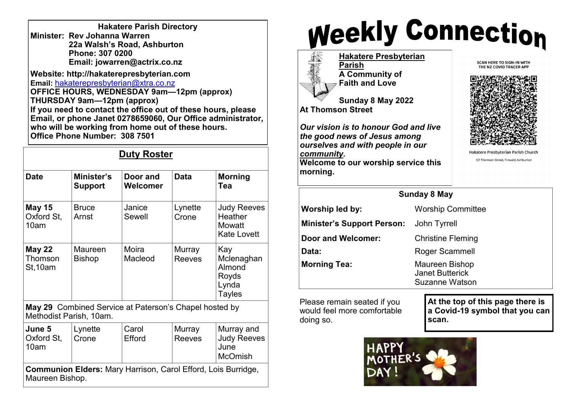| <b>Hakatere Parish Directory</b> |
|----------------------------------|
| Minister: Rev Johanna Warren     |
| 22a Walsh's Road, Ashburton      |
| Phone: 307 0200                  |
| Email: jowarren@actrix.co.nz     |

**Website: http://hakaterepresbyterian.com Email:** [hakaterepresbyterian@xtra.co.nz](mailto:hakaterepresbyterian@xtra.co.nz) **OFFICE HOURS, WEDNESDAY 9am—12pm (approx) THURSDAY 9am—12pm (approx) If you need to contact the office out of these hours, please Email, or phone Janet 0278659060, Our Office administrator,**  who will be working from home out of these hours.  $\begin{array}{|c|c|} \hline \end{array}$ **Office Phone Number: 308 7501**

## **Duty Roster**

| <b>Date</b>                         | Minister's<br><b>Support</b> | Door and<br>Welcomer                                   | <b>Data</b>             | <b>Morning</b><br>Tea                                          |
|-------------------------------------|------------------------------|--------------------------------------------------------|-------------------------|----------------------------------------------------------------|
| <b>May 15</b><br>Oxford St,<br>10am | <b>Bruce</b><br>Arnst        | Janice<br>Sewell                                       | Lynette<br>Crone        | <b>Judy Reeves</b><br>Heather<br>Mowatt<br><b>Kate Lovett</b>  |
| <b>May 22</b><br>Thomson<br>St,10am | Maureen<br><b>Bishop</b>     | Moira<br>Macleod                                       | Murray<br><b>Reeves</b> | Kay<br>Mclenaghan<br>Almond<br>Royds<br>Lynda<br><b>Tayles</b> |
|                                     | Methodist Parish, 10am.      | May 29 Combined Service at Paterson's Chapel hosted by |                         |                                                                |
| June 5<br>Oxford St,<br>10am        | Lynette<br>Crone             | Carol<br>Efford                                        | Murray<br><b>Reeves</b> | Murray and<br><b>Judy Reeves</b><br>June<br><b>McOmish</b>     |

**Communion Elders:** Mary Harrison, Carol Efford, Lois Burridge, Maureen Bishop.

## **Weekly Connection**

**Hakatere Presbyterian Parish A Community of Faith and Love**

**Sunday 8 May 2022 At Thomson Street**

**morning.** 

*Our vision is to honour God and live the good news of Jesus among ourselves and with people in our community.*  **Welcome to our worship service this** 



**SCAN HERE TO SIGN-IN WITH** THE NZ COVID TRACER APP

Hakatere Presbyterian Parish Church 127 Thomson Street, Tinwald, Ashburton

| <b>Sunday 8 May</b>               |                                                            |  |  |  |
|-----------------------------------|------------------------------------------------------------|--|--|--|
| Worship led by:                   | <b>Worship Committee</b>                                   |  |  |  |
| <b>Minister's Support Person:</b> | John Tyrrell                                               |  |  |  |
| Door and Welcomer:                | <b>Christine Fleming</b>                                   |  |  |  |
| Data:                             | Roger Scammell                                             |  |  |  |
| <b>Morning Tea:</b>               | Maureen Bishop<br><b>Janet Butterick</b><br>Suzanne Watson |  |  |  |

Please remain seated if you would feel more comfortable doing so.

**At the top of this page there is a Covid-19 symbol that you can scan.**